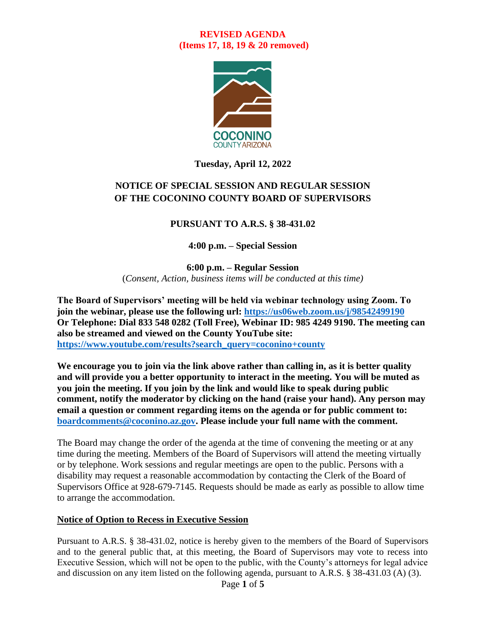

## **Tuesday, April 12, 2022**

# **NOTICE OF SPECIAL SESSION AND REGULAR SESSION OF THE COCONINO COUNTY BOARD OF SUPERVISORS**

### **PURSUANT TO A.R.S. § 38-431.02**

#### **4:00 p.m. – Special Session**

**6:00 p.m. – Regular Session** (*Consent, Action, business items will be conducted at this time)*

**The Board of Supervisors' meeting will be held via webinar technology using Zoom. To join the webinar, please use the following url: <https://us06web.zoom.us/j/98542499190> Or Telephone: Dial 833 548 0282 (Toll Free), Webinar ID: 985 4249 9190. The meeting can also be streamed and viewed on the County YouTube site: [https://www.youtube.com/results?search\\_query=coconino+county](https://www.youtube.com/results?search_query=coconino+county)**

**We encourage you to join via the link above rather than calling in, as it is better quality and will provide you a better opportunity to interact in the meeting. You will be muted as you join the meeting. If you join by the link and would like to speak during public comment, notify the moderator by clicking on the hand (raise your hand). Any person may email a question or comment regarding items on the agenda or for public comment to: [boardcomments@coconino.az.gov.](mailto:boardcomments@coconino.az.gov) Please include your full name with the comment.** 

The Board may change the order of the agenda at the time of convening the meeting or at any time during the meeting. Members of the Board of Supervisors will attend the meeting virtually or by telephone. Work sessions and regular meetings are open to the public. Persons with a disability may request a reasonable accommodation by contacting the Clerk of the Board of Supervisors Office at 928-679-7145. Requests should be made as early as possible to allow time to arrange the accommodation.

#### **Notice of Option to Recess in Executive Session**

Pursuant to A.R.S. § 38-431.02, notice is hereby given to the members of the Board of Supervisors and to the general public that, at this meeting, the Board of Supervisors may vote to recess into Executive Session, which will not be open to the public, with the County's attorneys for legal advice and discussion on any item listed on the following agenda, pursuant to A.R.S. § 38-431.03 (A) (3).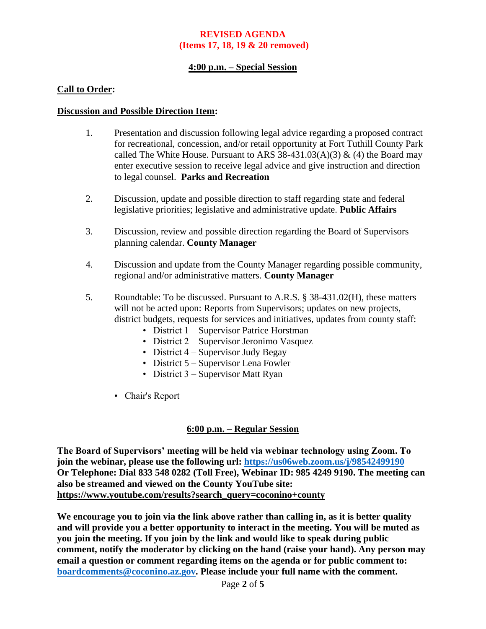### **4:00 p.m. – Special Session**

### **Call to Order:**

#### **Discussion and Possible Direction Item:**

- 1. Presentation and discussion following legal advice regarding a proposed contract for recreational, concession, and/or retail opportunity at Fort Tuthill County Park called The White House. Pursuant to ARS  $38-431.03(A)(3)$  & (4) the Board may enter executive session to receive legal advice and give instruction and direction to legal counsel. **Parks and Recreation**
- 2. Discussion, update and possible direction to staff regarding state and federal legislative priorities; legislative and administrative update. **Public Affairs**
- 3. Discussion, review and possible direction regarding the Board of Supervisors planning calendar. **County Manager**
- 4. Discussion and update from the County Manager regarding possible community, regional and/or administrative matters. **County Manager**
- 5. Roundtable: To be discussed. Pursuant to A.R.S. § 38-431.02(H), these matters will not be acted upon: Reports from Supervisors; updates on new projects, district budgets, requests for services and initiatives, updates from county staff:
	- District 1 Supervisor Patrice Horstman
	- District 2 Supervisor Jeronimo Vasquez
	- District 4 Supervisor Judy Begay
	- District 5 Supervisor Lena Fowler
	- District 3 Supervisor Matt Ryan
	- Chair's Report

#### **6:00 p.m. – Regular Session**

**The Board of Supervisors' meeting will be held via webinar technology using Zoom. To join the webinar, please use the following url: <https://us06web.zoom.us/j/98542499190> Or Telephone: Dial 833 548 0282 (Toll Free), Webinar ID: 985 4249 9190. The meeting can also be streamed and viewed on the County YouTube site: [https://www.youtube.com/results?search\\_query=coconino+county](https://www.youtube.com/results?search_query=coconino+county)**

**We encourage you to join via the link above rather than calling in, as it is better quality and will provide you a better opportunity to interact in the meeting. You will be muted as you join the meeting. If you join by the link and would like to speak during public comment, notify the moderator by clicking on the hand (raise your hand). Any person may email a question or comment regarding items on the agenda or for public comment to: [boardcomments@coconino.az.gov.](mailto:boardcomments@coconino.az.gov) Please include your full name with the comment.**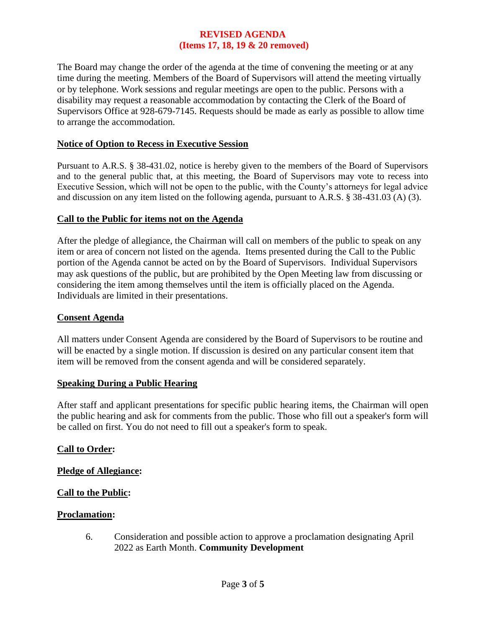The Board may change the order of the agenda at the time of convening the meeting or at any time during the meeting. Members of the Board of Supervisors will attend the meeting virtually or by telephone. Work sessions and regular meetings are open to the public. Persons with a disability may request a reasonable accommodation by contacting the Clerk of the Board of Supervisors Office at 928-679-7145. Requests should be made as early as possible to allow time to arrange the accommodation.

### **Notice of Option to Recess in Executive Session**

Pursuant to A.R.S. § 38-431.02, notice is hereby given to the members of the Board of Supervisors and to the general public that, at this meeting, the Board of Supervisors may vote to recess into Executive Session, which will not be open to the public, with the County's attorneys for legal advice and discussion on any item listed on the following agenda, pursuant to A.R.S. § 38-431.03 (A) (3).

### **Call to the Public for items not on the Agenda**

After the pledge of allegiance, the Chairman will call on members of the public to speak on any item or area of concern not listed on the agenda. Items presented during the Call to the Public portion of the Agenda cannot be acted on by the Board of Supervisors. Individual Supervisors may ask questions of the public, but are prohibited by the Open Meeting law from discussing or considering the item among themselves until the item is officially placed on the Agenda. Individuals are limited in their presentations.

#### **Consent Agenda**

All matters under Consent Agenda are considered by the Board of Supervisors to be routine and will be enacted by a single motion. If discussion is desired on any particular consent item that item will be removed from the consent agenda and will be considered separately.

#### **Speaking During a Public Hearing**

After staff and applicant presentations for specific public hearing items, the Chairman will open the public hearing and ask for comments from the public. Those who fill out a speaker's form will be called on first. You do not need to fill out a speaker's form to speak.

#### **Call to Order:**

#### **Pledge of Allegiance:**

#### **Call to the Public:**

#### **Proclamation:**

6. Consideration and possible action to approve a proclamation designating April 2022 as Earth Month. **Community Development**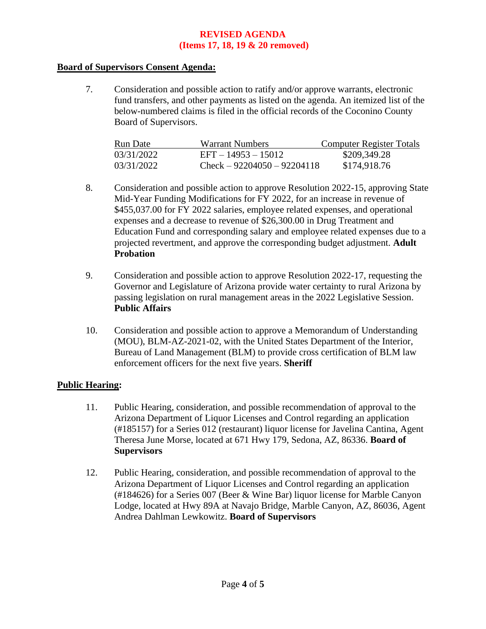### **Board of Supervisors Consent Agenda:**

7. Consideration and possible action to ratify and/or approve warrants, electronic fund transfers, and other payments as listed on the agenda. An itemized list of the below-numbered claims is filed in the official records of the Coconino County Board of Supervisors.

| Run Date   | <b>Warrant Numbers</b>        | Computer Register Totals |
|------------|-------------------------------|--------------------------|
| 03/31/2022 | $EFT - 14953 - 15012$         | \$209,349.28             |
| 03/31/2022 | $Check - 92204050 - 92204118$ | \$174,918.76             |

- 8. Consideration and possible action to approve Resolution 2022-15, approving State Mid-Year Funding Modifications for FY 2022, for an increase in revenue of \$455,037.00 for FY 2022 salaries, employee related expenses, and operational expenses and a decrease to revenue of \$26,300.00 in Drug Treatment and Education Fund and corresponding salary and employee related expenses due to a projected revertment, and approve the corresponding budget adjustment. **Adult Probation**
- 9. Consideration and possible action to approve Resolution 2022-17, requesting the Governor and Legislature of Arizona provide water certainty to rural Arizona by passing legislation on rural management areas in the 2022 Legislative Session. **Public Affairs**
- 10. Consideration and possible action to approve a Memorandum of Understanding (MOU), BLM-AZ-2021-02, with the United States Department of the Interior, Bureau of Land Management (BLM) to provide cross certification of BLM law enforcement officers for the next five years. **Sheriff**

### **Public Hearing:**

- 11. Public Hearing, consideration, and possible recommendation of approval to the Arizona Department of Liquor Licenses and Control regarding an application (#185157) for a Series 012 (restaurant) liquor license for Javelina Cantina, Agent Theresa June Morse, located at 671 Hwy 179, Sedona, AZ, 86336. **Board of Supervisors**
- 12. Public Hearing, consideration, and possible recommendation of approval to the Arizona Department of Liquor Licenses and Control regarding an application (#184626) for a Series 007 (Beer & Wine Bar) liquor license for Marble Canyon Lodge, located at Hwy 89A at Navajo Bridge, Marble Canyon, AZ, 86036, Agent Andrea Dahlman Lewkowitz. **Board of Supervisors**